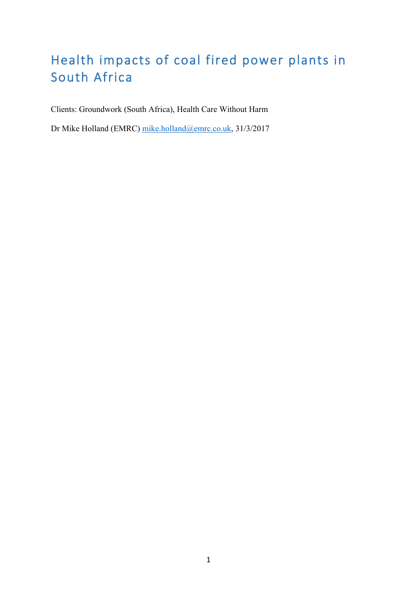# Health impacts of coal fired power plants in South Africa

Clients: Groundwork (South Africa), Health Care Without Harm

Dr Mike Holland (EMRC) mike.holland@emrc.co.uk, 31/3/2017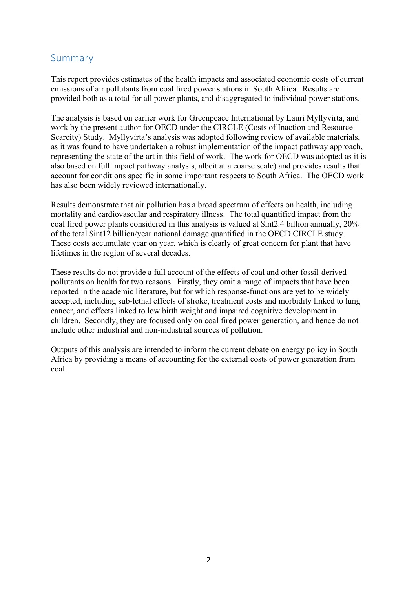# Summary

This report provides estimates of the health impacts and associated economic costs of current emissions of air pollutants from coal fired power stations in South Africa. Results are provided both as a total for all power plants, and disaggregated to individual power stations.

The analysis is based on earlier work for Greenpeace International by Lauri Myllyvirta, and work by the present author for OECD under the CIRCLE (Costs of Inaction and Resource Scarcity) Study. Myllyvirta's analysis was adopted following review of available materials, as it was found to have undertaken a robust implementation of the impact pathway approach, representing the state of the art in this field of work. The work for OECD was adopted as it is also based on full impact pathway analysis, albeit at a coarse scale) and provides results that account for conditions specific in some important respects to South Africa. The OECD work has also been widely reviewed internationally.

Results demonstrate that air pollution has a broad spectrum of effects on health, including mortality and cardiovascular and respiratory illness. The total quantified impact from the coal fired power plants considered in this analysis is valued at \$int2.4 billion annually, 20% of the total \$int12 billion/year national damage quantified in the OECD CIRCLE study. These costs accumulate year on year, which is clearly of great concern for plant that have lifetimes in the region of several decades.

These results do not provide a full account of the effects of coal and other fossil-derived pollutants on health for two reasons. Firstly, they omit a range of impacts that have been reported in the academic literature, but for which response-functions are yet to be widely accepted, including sub-lethal effects of stroke, treatment costs and morbidity linked to lung cancer, and effects linked to low birth weight and impaired cognitive development in children. Secondly, they are focused only on coal fired power generation, and hence do not include other industrial and non-industrial sources of pollution.

Outputs of this analysis are intended to inform the current debate on energy policy in South Africa by providing a means of accounting for the external costs of power generation from coal.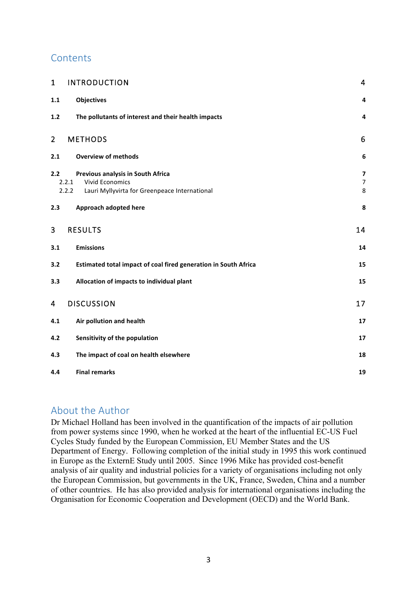# **Contents**

| $\mathbf{1}$   | <b>INTRODUCTION</b>                                                                                                            | $\overline{4}$                                 |
|----------------|--------------------------------------------------------------------------------------------------------------------------------|------------------------------------------------|
| 1.1            | <b>Objectives</b>                                                                                                              | 4                                              |
| 1.2            | The pollutants of interest and their health impacts                                                                            | 4                                              |
| $\overline{2}$ | <b>METHODS</b>                                                                                                                 | 6                                              |
| 2.1            | <b>Overview of methods</b>                                                                                                     | 6                                              |
| 2.2            | Previous analysis in South Africa<br><b>Vivid Economics</b><br>2.2.1<br>2.2.2<br>Lauri Myllyvirta for Greenpeace International | $\overline{\mathbf{z}}$<br>$\overline{7}$<br>8 |
| 2.3            | Approach adopted here                                                                                                          | 8                                              |
| 3              | <b>RESULTS</b>                                                                                                                 | 14                                             |
| 3.1            | <b>Emissions</b>                                                                                                               | 14                                             |
| 3.2            | Estimated total impact of coal fired generation in South Africa                                                                | 15                                             |
| 3.3            | Allocation of impacts to individual plant                                                                                      | 15                                             |
| 4              | <b>DISCUSSION</b>                                                                                                              | 17                                             |
| 4.1            | Air pollution and health                                                                                                       | 17                                             |
| 4.2            | Sensitivity of the population                                                                                                  | 17                                             |
| 4.3            | The impact of coal on health elsewhere                                                                                         | 18                                             |
| 4.4            | <b>Final remarks</b>                                                                                                           | 19                                             |

# About the Author

Dr Michael Holland has been involved in the quantification of the impacts of air pollution from power systems since 1990, when he worked at the heart of the influential EC-US Fuel Cycles Study funded by the European Commission, EU Member States and the US Department of Energy. Following completion of the initial study in 1995 this work continued in Europe as the ExternE Study until 2005. Since 1996 Mike has provided cost-benefit analysis of air quality and industrial policies for a variety of organisations including not only the European Commission, but governments in the UK, France, Sweden, China and a number of other countries. He has also provided analysis for international organisations including the Organisation for Economic Cooperation and Development (OECD) and the World Bank.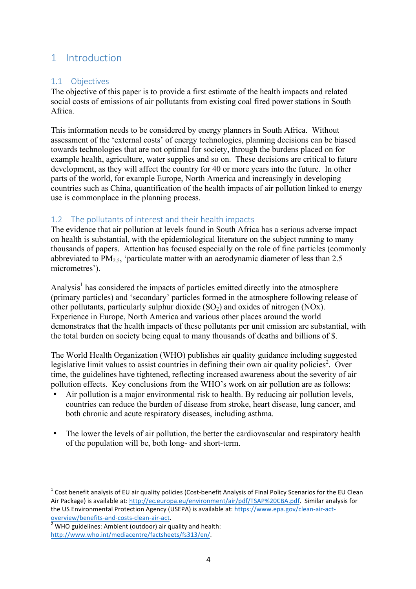# 1 Introduction

#### 1.1 Objectives

The objective of this paper is to provide a first estimate of the health impacts and related social costs of emissions of air pollutants from existing coal fired power stations in South Africa.

This information needs to be considered by energy planners in South Africa. Without assessment of the 'external costs' of energy technologies, planning decisions can be biased towards technologies that are not optimal for society, through the burdens placed on for example health, agriculture, water supplies and so on. These decisions are critical to future development, as they will affect the country for 40 or more years into the future. In other parts of the world, for example Europe, North America and increasingly in developing countries such as China, quantification of the health impacts of air pollution linked to energy use is commonplace in the planning process.

#### 1.2 The pollutants of interest and their health impacts

The evidence that air pollution at levels found in South Africa has a serious adverse impact on health is substantial, with the epidemiological literature on the subject running to many thousands of papers. Attention has focused especially on the role of fine particles (commonly abbreviated to PM<sub>2.5</sub>, 'particulate matter with an aerodynamic diameter of less than 2.5 micrometres').

Analysis<sup>1</sup> has considered the impacts of particles emitted directly into the atmosphere (primary particles) and 'secondary' particles formed in the atmosphere following release of other pollutants, particularly sulphur dioxide  $(SO_2)$  and oxides of nitrogen  $(NOx)$ . Experience in Europe, North America and various other places around the world demonstrates that the health impacts of these pollutants per unit emission are substantial, with the total burden on society being equal to many thousands of deaths and billions of \$.

The World Health Organization (WHO) publishes air quality guidance including suggested legislative limit values to assist countries in defining their own air quality policies<sup>2</sup>. Over time, the guidelines have tightened, reflecting increased awareness about the severity of air pollution effects. Key conclusions from the WHO's work on air pollution are as follows:

- Air pollution is a major environmental risk to health. By reducing air pollution levels, countries can reduce the burden of disease from stroke, heart disease, lung cancer, and both chronic and acute respiratory diseases, including asthma.
- The lower the levels of air pollution, the better the cardiovascular and respiratory health of the population will be, both long- and short-term.

 $1$  Cost benefit analysis of EU air quality policies (Cost-benefit Analysis of Final Policy Scenarios for the EU Clean Air Package) is available at: http://ec.europa.eu/environment/air/pdf/TSAP%20CBA.pdf. Similar analysis for the US Environmental Protection Agency (USEPA) is available at: https://www.epa.gov/clean-air-actoverview/benefits-and-costs-clean-air-act.<br> $\frac{1}{2}$  WHO guidelines: Ambient (outdoor) air quality and health:

http://www.who.int/mediacentre/factsheets/fs313/en/.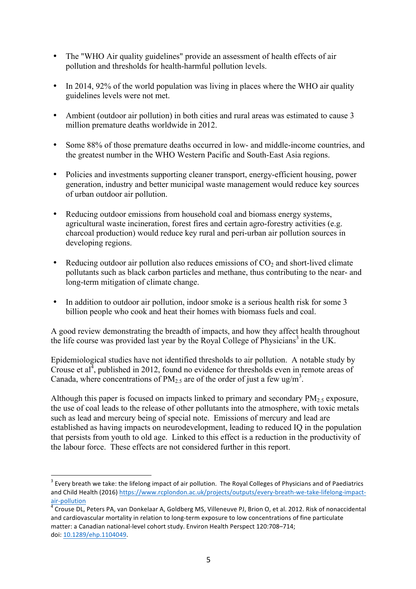- The "WHO Air quality guidelines" provide an assessment of health effects of air pollution and thresholds for health-harmful pollution levels.
- In 2014, 92% of the world population was living in places where the WHO air quality guidelines levels were not met.
- Ambient (outdoor air pollution) in both cities and rural areas was estimated to cause 3 million premature deaths worldwide in 2012.
- Some 88% of those premature deaths occurred in low- and middle-income countries, and the greatest number in the WHO Western Pacific and South-East Asia regions.
- Policies and investments supporting cleaner transport, energy-efficient housing, power generation, industry and better municipal waste management would reduce key sources of urban outdoor air pollution.
- Reducing outdoor emissions from household coal and biomass energy systems, agricultural waste incineration, forest fires and certain agro-forestry activities (e.g. charcoal production) would reduce key rural and peri-urban air pollution sources in developing regions.
- Reducing outdoor air pollution also reduces emissions of  $CO<sub>2</sub>$  and short-lived climate pollutants such as black carbon particles and methane, thus contributing to the near- and long-term mitigation of climate change.
- In addition to outdoor air pollution, indoor smoke is a serious health risk for some 3 billion people who cook and heat their homes with biomass fuels and coal.

A good review demonstrating the breadth of impacts, and how they affect health throughout the life course was provided last year by the Royal College of Physicians<sup>3</sup> in the UK.

Epidemiological studies have not identified thresholds to air pollution. A notable study by Crouse et al, published in 2012, found no evidence for thresholds even in remote areas of Canada, where concentrations of  $PM_{2.5}$  are of the order of just a few ug/m<sup>3</sup>.

Although this paper is focused on impacts linked to primary and secondary  $PM_{2.5}$  exposure, the use of coal leads to the release of other pollutants into the atmosphere, with toxic metals such as lead and mercury being of special note. Emissions of mercury and lead are established as having impacts on neurodevelopment, leading to reduced IQ in the population that persists from youth to old age. Linked to this effect is a reduction in the productivity of the labour force. These effects are not considered further in this report.

 $3$  Every breath we take: the lifelong impact of air pollution. The Royal Colleges of Physicians and of Paediatrics and Child Health (2016) https://www.rcplondon.ac.uk/projects/outputs/every-breath-we-take-lifelong-impact- $\frac{\text{air-polution}}{4}$  Crouse DL, Peters PA, van Donkelaar A, Goldberg MS, Villeneuve PJ, Brion O, et al. 2012. Risk of nonaccidental

and cardiovascular mortality in relation to long-term exposure to low concentrations of fine particulate matter: a Canadian national-level cohort study. Environ Health Perspect 120:708-714; doi: 10.1289/ehp.1104049.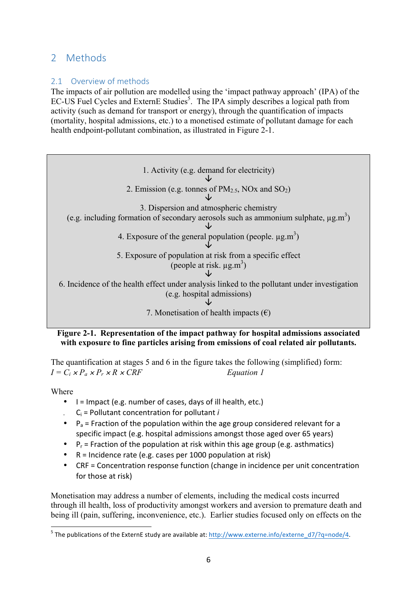# 2 Methods

## 2.1 Overview of methods

The impacts of air pollution are modelled using the 'impact pathway approach' (IPA) of the EC-US Fuel Cycles and ExternE Studies<sup>5</sup>. The IPA simply describes a logical path from activity (such as demand for transport or energy), through the quantification of impacts (mortality, hospital admissions, etc.) to a monetised estimate of pollutant damage for each health endpoint-pollutant combination, as illustrated in Figure 2-1.



#### **Figure 2-1. Representation of the impact pathway for hospital admissions associated with exposure to fine particles arising from emissions of coal related air pollutants.**

The quantification at stages 5 and 6 in the figure takes the following (simplified) form:  $I = C_i \times P_a \times P_r \times R \times CRF$  *Equation 1* 

Where

- $\bullet$   $\uparrow$  = Impact (e.g. number of cases, days of ill health, etc.)
- $\cdot$   $C_i$  = Pollutant concentration for pollutant *i*
- $P_a$  = Fraction of the population within the age group considered relevant for a specific impact (e.g. hospital admissions amongst those aged over 65 years)
- $P_r$  = Fraction of the population at risk within this age group (e.g. asthmatics)
- $R =$  Incidence rate (e.g. cases per 1000 population at risk)
- CRF = Concentration response function (change in incidence per unit concentration for those at risk)

Monetisation may address a number of elements, including the medical costs incurred through ill health, loss of productivity amongst workers and aversion to premature death and being ill (pain, suffering, inconvenience, etc.). Earlier studies focused only on effects on the

<sup>&</sup>lt;sup>5</sup> The publications of the ExternE study are available at: http://www.externe.info/externe\_d7/?q=node/4.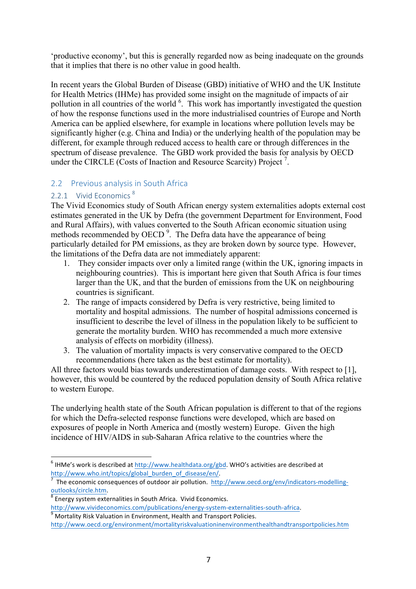'productive economy', but this is generally regarded now as being inadequate on the grounds that it implies that there is no other value in good health.

In recent years the Global Burden of Disease (GBD) initiative of WHO and the UK Institute for Health Metrics (IHMe) has provided some insight on the magnitude of impacts of air pollution in all countries of the world <sup>6</sup>. This work has importantly investigated the question of how the response functions used in the more industrialised countries of Europe and North America can be applied elsewhere, for example in locations where pollution levels may be significantly higher (e.g. China and India) or the underlying health of the population may be different, for example through reduced access to health care or through differences in the spectrum of disease prevalence. The GBD work provided the basis for analysis by OECD under the CIRCLE (Costs of Inaction and Resource Scarcity) Project<sup>7</sup>.

### 2.2 Previous analysis in South Africa

### 2.2.1 Vivid Economics<sup>8</sup>

The Vivid Economics study of South African energy system externalities adopts external cost estimates generated in the UK by Defra (the government Department for Environment, Food and Rural Affairs), with values converted to the South African economic situation using methods recommended by OECD<sup>9</sup>. The Defra data have the appearance of being particularly detailed for PM emissions, as they are broken down by source type. However, the limitations of the Defra data are not immediately apparent:

- 1. They consider impacts over only a limited range (within the UK, ignoring impacts in neighbouring countries). This is important here given that South Africa is four times larger than the UK, and that the burden of emissions from the UK on neighbouring countries is significant.
- 2. The range of impacts considered by Defra is very restrictive, being limited to mortality and hospital admissions. The number of hospital admissions concerned is insufficient to describe the level of illness in the population likely to be sufficient to generate the mortality burden. WHO has recommended a much more extensive analysis of effects on morbidity (illness).
- 3. The valuation of mortality impacts is very conservative compared to the OECD recommendations (here taken as the best estimate for mortality).

All three factors would bias towards underestimation of damage costs. With respect to [1], however, this would be countered by the reduced population density of South Africa relative to western Europe.

The underlying health state of the South African population is different to that of the regions for which the Defra-selected response functions were developed, which are based on exposures of people in North America and (mostly western) Europe. Given the high incidence of HIV/AIDS in sub-Saharan Africa relative to the countries where the

 $6$  IHMe's work is described at http://www.healthdata.org/gbd. WHO's activities are described at

http://www.who.int/topics/global\_burden\_of\_disease/en/.<br>  $\frac{1}{7}$  The economic consequences of outdoor air pollution. http<br>  $\frac{\text{outlooks/circle.htm}}{8}$ The economic consequences of outdoor air pollution. http://www.oecd.org/env/indicators-modelling-

Energy system externalities in South Africa. Vivid Economics.

http://www.vivideconomics.com/publications/energy-system-externalities-south-africa.<br>
<sup>9</sup> Mortality Risk Valuation in Environment, Health and Transport Policies.

http://www.oecd.org/environment/mortalityriskvaluationinenvironmenthealthandtransportpolicies.htm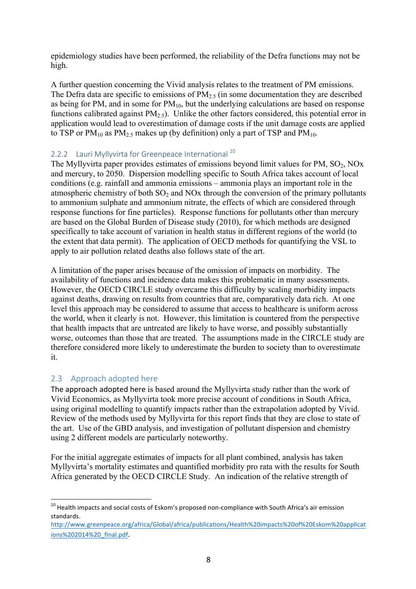epidemiology studies have been performed, the reliability of the Defra functions may not be high.

A further question concerning the Vivid analysis relates to the treatment of PM emissions. The Defra data are specific to emissions of  $PM_{2.5}$  (in some documentation they are described as being for PM, and in some for  $PM_{10}$ , but the underlying calculations are based on response functions calibrated against  $PM<sub>2.5</sub>$ ). Unlike the other factors considered, this potential error in application would lead to overestimation of damage costs if the unit damage costs are applied to TSP or  $PM_{10}$  as  $PM_{2.5}$  makes up (by definition) only a part of TSP and  $PM_{10}$ .

#### 2.2.2 Lauri Myllyvirta for Greenpeace International<sup>10</sup>

The Myllyvirta paper provides estimates of emissions beyond limit values for PM,  $SO_2$ , NOx and mercury, to 2050. Dispersion modelling specific to South Africa takes account of local conditions (e.g. rainfall and ammonia emissions – ammonia plays an important role in the atmospheric chemistry of both  $SO_2$  and  $NOx$  through the conversion of the primary pollutants to ammonium sulphate and ammonium nitrate, the effects of which are considered through response functions for fine particles). Response functions for pollutants other than mercury are based on the Global Burden of Disease study (2010), for which methods are designed specifically to take account of variation in health status in different regions of the world (to the extent that data permit). The application of OECD methods for quantifying the VSL to apply to air pollution related deaths also follows state of the art.

A limitation of the paper arises because of the omission of impacts on morbidity. The availability of functions and incidence data makes this problematic in many assessments. However, the OECD CIRCLE study overcame this difficulty by scaling morbidity impacts against deaths, drawing on results from countries that are, comparatively data rich. At one level this approach may be considered to assume that access to healthcare is uniform across the world, when it clearly is not. However, this limitation is countered from the perspective that health impacts that are untreated are likely to have worse, and possibly substantially worse, outcomes than those that are treated. The assumptions made in the CIRCLE study are therefore considered more likely to underestimate the burden to society than to overestimate it.

#### 2.3 Approach adopted here

The approach adopted here is based around the Myllyvirta study rather than the work of Vivid Economics, as Myllyvirta took more precise account of conditions in South Africa, using original modelling to quantify impacts rather than the extrapolation adopted by Vivid. Review of the methods used by Myllyvirta for this report finds that they are close to state of the art. Use of the GBD analysis, and investigation of pollutant dispersion and chemistry using 2 different models are particularly noteworthy.

For the initial aggregate estimates of impacts for all plant combined, analysis has taken Myllyvirta's mortality estimates and quantified morbidity pro rata with the results for South Africa generated by the OECD CIRCLE Study. An indication of the relative strength of

 $10$  Health impacts and social costs of Eskom's proposed non-compliance with South Africa's air emission standards. 

http://www.greenpeace.org/africa/Global/africa/publications/Health%20impacts%20of%20Eskom%20applicat ions%202014%20\_final.pdf.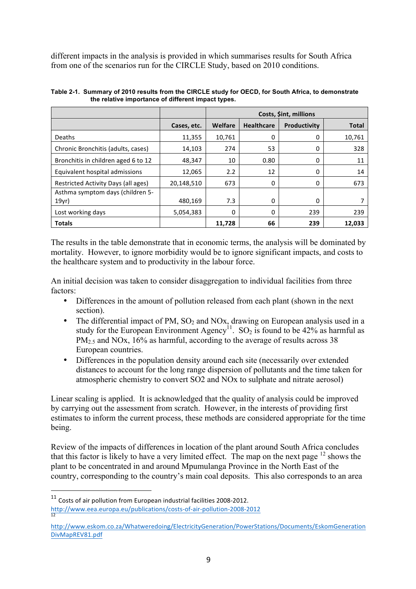different impacts in the analysis is provided in which summarises results for South Africa from one of the scenarios run for the CIRCLE Study, based on 2010 conditions.

|                                     |             | Costs, Sint, millions |                   |              |              |
|-------------------------------------|-------------|-----------------------|-------------------|--------------|--------------|
|                                     | Cases, etc. | Welfare               | <b>Healthcare</b> | Productivity | <b>Total</b> |
| Deaths                              | 11,355      | 10,761                | 0                 | 0            | 10,761       |
| Chronic Bronchitis (adults, cases)  | 14,103      | 274                   | 53                | 0            | 328          |
| Bronchitis in children aged 6 to 12 | 48,347      | 10                    | 0.80              | 0            | 11           |
| Equivalent hospital admissions      | 12,065      | 2.2                   | 12                | 0            | 14           |
| Restricted Activity Days (all ages) | 20,148,510  | 673                   | 0                 | 0            | 673          |
| Asthma symptom days (children 5-    |             |                       |                   |              |              |
| 19yr)                               | 480,169     | 7.3                   | 0                 | 0            |              |
| Lost working days                   | 5,054,383   | $\Omega$              | 0                 | 239          | 239          |
| <b>Totals</b>                       |             | 11,728                | 66                | 239          | 12,033       |

**Table 2-1. Summary of 2010 results from the CIRCLE study for OECD, for South Africa, to demonstrate the relative importance of different impact types.**

The results in the table demonstrate that in economic terms, the analysis will be dominated by mortality. However, to ignore morbidity would be to ignore significant impacts, and costs to the healthcare system and to productivity in the labour force.

An initial decision was taken to consider disaggregation to individual facilities from three factors:

- Differences in the amount of pollution released from each plant (shown in the next section).
- The differential impact of PM,  $SO_2$  and NOx, drawing on European analysis used in a study for the European Environment Agency<sup>11</sup>. SO<sub>2</sub> is found to be 42% as harmful as PM<sub>2.5</sub> and NOx, 16% as harmful, according to the average of results across 38 European countries.
- Differences in the population density around each site (necessarily over extended distances to account for the long range dispersion of pollutants and the time taken for atmospheric chemistry to convert SO2 and NOx to sulphate and nitrate aerosol)

Linear scaling is applied. It is acknowledged that the quality of analysis could be improved by carrying out the assessment from scratch. However, in the interests of providing first estimates to inform the current process, these methods are considered appropriate for the time being.

Review of the impacts of differences in location of the plant around South Africa concludes that this factor is likely to have a very limited effect. The map on the next page  $12$  shows the plant to be concentrated in and around Mpumulanga Province in the North East of the country, corresponding to the country's main coal deposits. This also corresponds to an area

 $\overline{a}$ 

 $11$  Costs of air pollution from European industrial facilities 2008-2012. http://www.eea.europa.eu/publications/costs-of-air-pollution-2008-2012

http://www.eskom.co.za/Whatweredoing/ElectricityGeneration/PowerStations/Documents/EskomGeneration DivMapREV81.pdf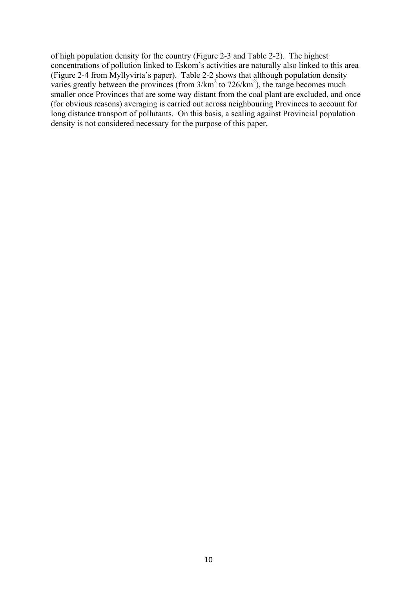of high population density for the country (Figure 2-3 and Table 2-2). The highest concentrations of pollution linked to Eskom's activities are naturally also linked to this area (Figure 2-4 from Myllyvirta's paper). Table 2-2 shows that although population density varies greatly between the provinces (from  $3/\text{km}^2$  to  $726/\text{km}^2$ ), the range becomes much smaller once Provinces that are some way distant from the coal plant are excluded, and once (for obvious reasons) averaging is carried out across neighbouring Provinces to account for long distance transport of pollutants. On this basis, a scaling against Provincial population density is not considered necessary for the purpose of this paper.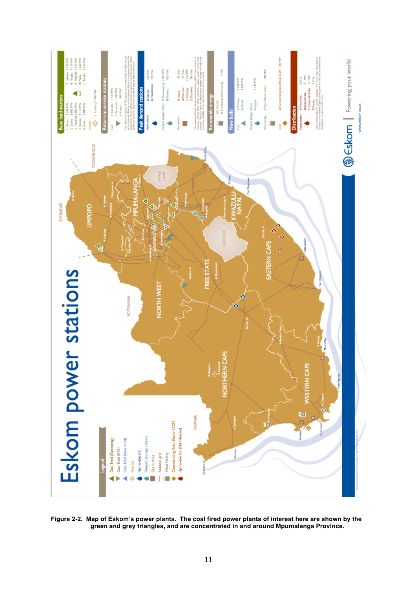

**Figure 2-2. Map of Eskom's power plants. The coal fired power plants of interest here are shown by the green and grey triangles, and are concentrated in and around Mpumalanga Province.**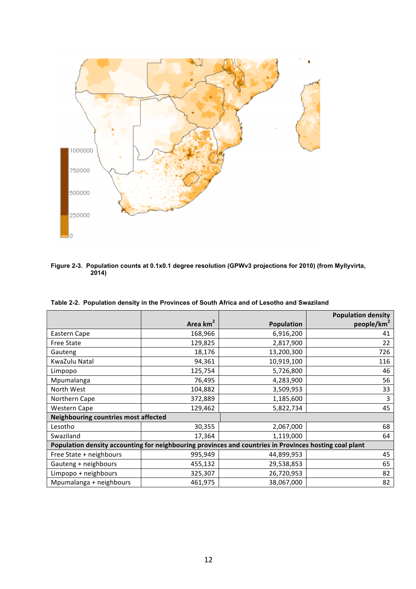

**Figure 2-3. Population counts at 0.1x0.1 degree resolution (GPWv3 projections for 2010) (from Myllyvirta, 2014)**

|                                                                                                        |                      |                   | <b>Population density</b> |
|--------------------------------------------------------------------------------------------------------|----------------------|-------------------|---------------------------|
|                                                                                                        | Area km <sup>2</sup> | <b>Population</b> | people/km <sup>2</sup>    |
| Eastern Cape                                                                                           | 168,966              | 6,916,200         | 41                        |
| <b>Free State</b>                                                                                      | 129,825              | 2,817,900         | 22                        |
| Gauteng                                                                                                | 18,176               | 13,200,300        | 726                       |
| KwaZulu Natal                                                                                          | 94,361               | 10,919,100        | 116                       |
| Limpopo                                                                                                | 125,754              | 5,726,800         | 46                        |
| Mpumalanga                                                                                             | 76,495               | 4,283,900         | 56                        |
| North West                                                                                             | 104,882              | 3,509,953         | 33                        |
| Northern Cape                                                                                          | 372,889              | 1,185,600         | 3                         |
| <b>Western Cape</b>                                                                                    | 129,462              | 5,822,734         | 45                        |
| <b>Neighbouring countries most affected</b>                                                            |                      |                   |                           |
| Lesotho                                                                                                | 30,355               | 2,067,000         | 68                        |
| Swaziland                                                                                              | 17,364               | 1,119,000         | 64                        |
| Population density accounting for neighbouring provinces and countries in Provinces hosting coal plant |                      |                   |                           |
| Free State + neighbours                                                                                | 995,949              | 44,899,953        | 45                        |
| Gauteng + neighbours                                                                                   | 455,132              | 29,538,853        | 65                        |
| Limpopo + neighbours                                                                                   | 325,307              | 26,720,953        | 82                        |
| Mpumalanga + neighbours                                                                                | 461,975              | 38,067,000        | 82                        |

**Table 2-2. Population density in the Provinces of South Africa and of Lesotho and Swaziland**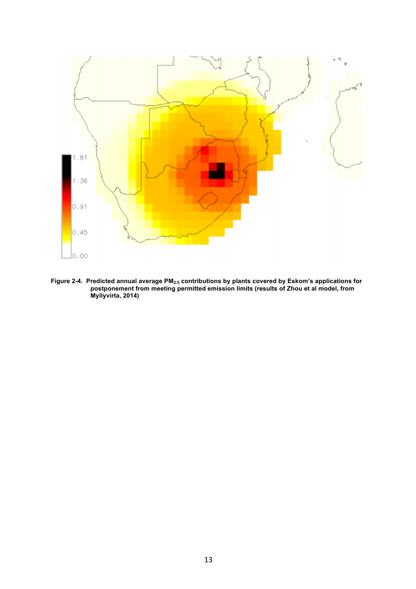

**Figure 2-4. Predicted annual average PM2.5 contributions by plants covered by Eskom's applications for postponement from meeting permitted emission limits (results of Zhou et al model, from Myllyvirta, 2014)**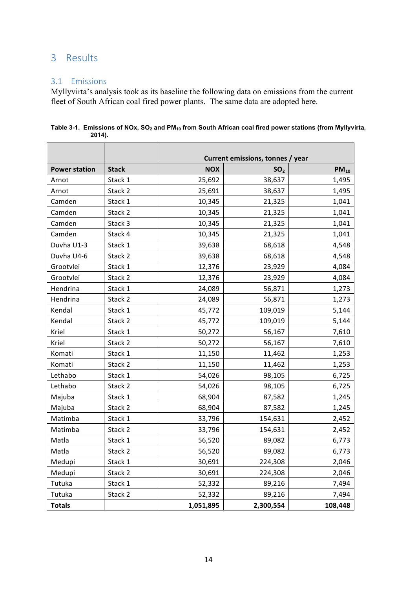# 3 Results

#### 3.1 Emissions

Myllyvirta's analysis took as its baseline the following data on emissions from the current fleet of South African coal fired power plants. The same data are adopted here.

|                      |              | Current emissions, tonnes / year |                 |           |
|----------------------|--------------|----------------------------------|-----------------|-----------|
| <b>Power station</b> | <b>Stack</b> | <b>NOX</b>                       | SO <sub>2</sub> | $PM_{10}$ |
| Arnot                | Stack 1      | 25,692                           | 38,637          | 1,495     |
| Arnot                | Stack 2      | 25,691                           | 38,637          | 1,495     |
| Camden               | Stack 1      | 10,345                           | 21,325          | 1,041     |
| Camden               | Stack 2      | 10,345                           | 21,325          | 1,041     |
| Camden               | Stack 3      | 10,345                           | 21,325          | 1,041     |
| Camden               | Stack 4      | 10,345                           | 21,325          | 1,041     |
| Duvha U1-3           | Stack 1      | 39,638                           | 68,618          | 4,548     |
| Duvha U4-6           | Stack 2      | 39,638                           | 68,618          | 4,548     |
| Grootvlei            | Stack 1      | 12,376                           | 23,929          | 4,084     |
| Grootvlei            | Stack 2      | 12,376                           | 23,929          | 4,084     |
| Hendrina             | Stack 1      | 24,089                           | 56,871          | 1,273     |
| Hendrina             | Stack 2      | 24,089                           | 56,871          | 1,273     |
| Kendal               | Stack 1      | 45,772                           | 109,019         | 5,144     |
| Kendal               | Stack 2      | 45,772                           | 109,019         | 5,144     |
| Kriel                | Stack 1      | 50,272                           | 56,167          | 7,610     |
| Kriel                | Stack 2      | 50,272                           | 56,167          | 7,610     |
| Komati               | Stack 1      | 11,150                           | 11,462          | 1,253     |
| Komati               | Stack 2      | 11,150                           | 11,462          | 1,253     |
| Lethabo              | Stack 1      | 54,026                           | 98,105          | 6,725     |
| Lethabo              | Stack 2      | 54,026                           | 98,105          | 6,725     |
| Majuba               | Stack 1      | 68,904                           | 87,582          | 1,245     |
| Majuba               | Stack 2      | 68,904                           | 87,582          | 1,245     |
| Matimba              | Stack 1      | 33,796                           | 154,631         | 2,452     |
| Matimba              | Stack 2      | 33,796                           | 154,631         | 2,452     |
| Matla                | Stack 1      | 56,520                           | 89,082          | 6,773     |
| Matla                | Stack 2      | 56,520                           | 89,082          | 6,773     |
| Medupi               | Stack 1      | 30,691                           | 224,308         | 2,046     |
| Medupi               | Stack 2      | 30,691                           | 224,308         | 2,046     |
| Tutuka               | Stack 1      | 52,332                           | 89,216          | 7,494     |
| Tutuka               | Stack 2      | 52,332                           | 89,216          | 7,494     |
| <b>Totals</b>        |              | 1,051,895                        | 2,300,554       | 108,448   |

**Table 3-1. Emissions of NOx, SO2 and PM10 from South African coal fired power stations (from Myllyvirta, 2014).**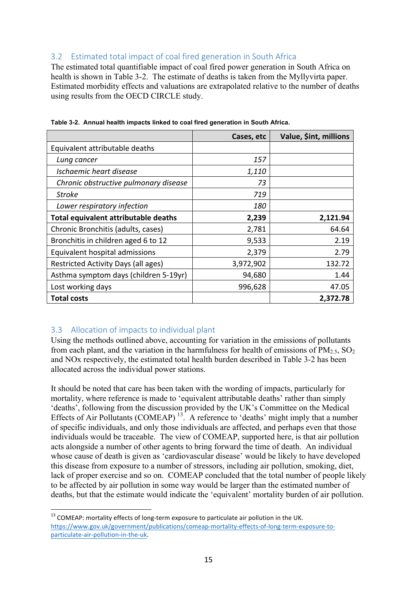### 3.2 Estimated total impact of coal fired generation in South Africa

The estimated total quantifiable impact of coal fired power generation in South Africa on health is shown in Table 3-2. The estimate of deaths is taken from the Myllyvirta paper. Estimated morbidity effects and valuations are extrapolated relative to the number of deaths using results from the OECD CIRCLE study.

|                                       | Cases, etc | Value, \$int, millions |
|---------------------------------------|------------|------------------------|
| Equivalent attributable deaths        |            |                        |
| Lung cancer                           | 157        |                        |
| Ischaemic heart disease               | 1,110      |                        |
| Chronic obstructive pulmonary disease | 73         |                        |
| <b>Stroke</b>                         | 719        |                        |
| Lower respiratory infection           | <i>180</i> |                        |
| Total equivalent attributable deaths  | 2,239      | 2,121.94               |
| Chronic Bronchitis (adults, cases)    | 2,781      | 64.64                  |
| Bronchitis in children aged 6 to 12   | 9,533      | 2.19                   |
| Equivalent hospital admissions        | 2,379      | 2.79                   |
| Restricted Activity Days (all ages)   | 3,972,902  | 132.72                 |
| Asthma symptom days (children 5-19yr) | 94,680     | 1.44                   |
| Lost working days                     | 996,628    | 47.05                  |
| <b>Total costs</b>                    |            | 2,372.78               |

**Table 3-2. Annual health impacts linked to coal fired generation in South Africa.**

#### 3.3 Allocation of impacts to individual plant

Using the methods outlined above, accounting for variation in the emissions of pollutants from each plant, and the variation in the harmfulness for health of emissions of  $PM_{2.5}$ ,  $SO_2$ and NOx respectively, the estimated total health burden described in Table 3-2 has been allocated across the individual power stations.

It should be noted that care has been taken with the wording of impacts, particularly for mortality, where reference is made to 'equivalent attributable deaths' rather than simply 'deaths', following from the discussion provided by the UK's Committee on the Medical Effects of Air Pollutants (COMEAP)<sup> $13$ </sup>. A reference to 'deaths' might imply that a number of specific individuals, and only those individuals are affected, and perhaps even that those individuals would be traceable. The view of COMEAP, supported here, is that air pollution acts alongside a number of other agents to bring forward the time of death. An individual whose cause of death is given as 'cardiovascular disease' would be likely to have developed this disease from exposure to a number of stressors, including air pollution, smoking, diet, lack of proper exercise and so on. COMEAP concluded that the total number of people likely to be affected by air pollution in some way would be larger than the estimated number of deaths, but that the estimate would indicate the 'equivalent' mortality burden of air pollution.

 $13$  COMEAP: mortality effects of long-term exposure to particulate air pollution in the UK. https://www.gov.uk/government/publications/comeap-mortality-effects-of-long-term-exposure-toparticulate-air-pollution-in-the-uk.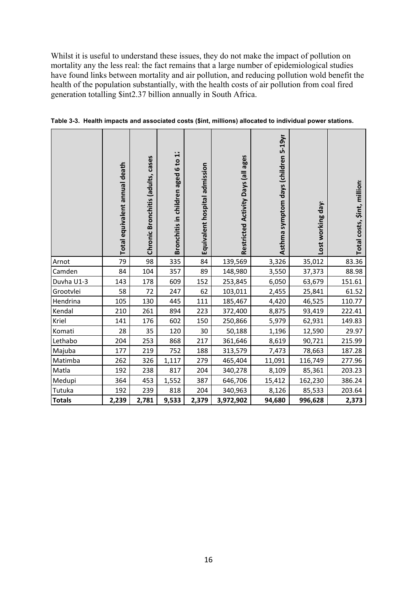Whilst it is useful to understand these issues, they do not make the impact of pollution on mortality any the less real: the fact remains that a large number of epidemiological studies have found links between mortality and air pollution, and reducing pollution wold benefit the health of the population substantially, with the health costs of air pollution from coal fired generation totalling \$int2.37 billion annually in South Africa.

|               | Total equivalent annual death | cases<br>Chronic Bronchitis (adults, | H<br>Bronchitis in children aged 6 to | Equivalent hospital admission | Restricted Activity Days (all ages | Asthma symptom days (children 5-19yr | Lost working day! | Total costs, \$int, million: |
|---------------|-------------------------------|--------------------------------------|---------------------------------------|-------------------------------|------------------------------------|--------------------------------------|-------------------|------------------------------|
| Arnot         | 79                            | 98                                   | 335                                   | 84                            | 139,569                            | 3,326                                | 35,012            | 83.36                        |
| Camden        | 84                            | 104                                  | 357                                   | 89                            | 148,980                            | 3,550                                | 37,373            | 88.98                        |
| Duvha U1-3    | 143                           | 178                                  | 609                                   | 152                           | 253,845                            | 6,050                                | 63,679            | 151.61                       |
| Grootvlei     | 58                            | 72                                   | 247                                   | 62                            | 103,011                            | 2,455                                | 25,841            | 61.52                        |
| Hendrina      | 105                           | 130                                  | 445                                   | 111                           | 185,467                            | 4,420                                | 46,525            | 110.77                       |
| Kendal        | 210                           | 261                                  | 894                                   | 223                           | 372,400                            | 8,875                                | 93,419            | 222.41                       |
| Kriel         | 141                           | 176                                  | 602                                   | 150                           | 250,866                            | 5,979                                | 62,931            | 149.83                       |
| Komati        | 28                            | 35                                   | 120                                   | 30                            | 50,188                             | 1,196                                | 12,590            | 29.97                        |
| Lethabo       | 204                           | 253                                  | 868                                   | 217                           | 361,646                            | 8,619                                | 90,721            | 215.99                       |
| Majuba        | 177                           | 219                                  | 752                                   | 188                           | 313,579                            | 7,473                                | 78,663            | 187.28                       |
| Matimba       | 262                           | 326                                  | 1,117                                 | 279                           | 465,404                            | 11,091                               | 116,749           | 277.96                       |
| Matla         | 192                           | 238                                  | 817                                   | 204                           | 340,278                            | 8,109                                | 85,361            | 203.23                       |
| Medupi        | 364                           | 453                                  | 1,552                                 | 387                           | 646,706                            | 15,412                               | 162,230           | 386.24                       |
| Tutuka        | 192                           | 239                                  | 818                                   | 204                           | 340,963                            | 8,126                                | 85,533            | 203.64                       |
| <b>Totals</b> | 2,239                         | 2,781                                | 9,533                                 | 2,379                         | 3,972,902                          | 94,680                               | 996,628           | 2,373                        |

**Table 3-3. Health impacts and associated costs (\$int, millions) allocated to individual power stations.**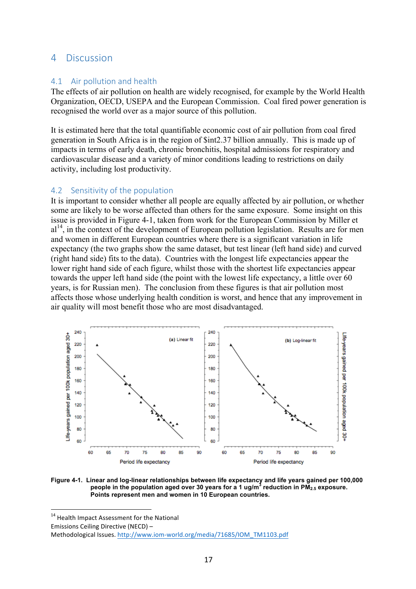### 4 Discussion

#### 4.1 Air pollution and health

The effects of air pollution on health are widely recognised, for example by the World Health Organization, OECD, USEPA and the European Commission. Coal fired power generation is recognised the world over as a major source of this pollution.

It is estimated here that the total quantifiable economic cost of air pollution from coal fired generation in South Africa is in the region of \$int2.37 billion annually. This is made up of impacts in terms of early death, chronic bronchitis, hospital admissions for respiratory and cardiovascular disease and a variety of minor conditions leading to restrictions on daily activity, including lost productivity.

#### 4.2 Sensitivity of the population

It is important to consider whether all people are equally affected by air pollution, or whether some are likely to be worse affected than others for the same exposure. Some insight on this issue is provided in Figure 4-1, taken from work for the European Commission by Miller et al<sup>14</sup>, in the context of the development of European pollution legislation. Results are for men and women in different European countries where there is a significant variation in life expectancy (the two graphs show the same dataset, but test linear (left hand side) and curved (right hand side) fits to the data). Countries with the longest life expectancies appear the lower right hand side of each figure, whilst those with the shortest life expectancies appear towards the upper left hand side (the point with the lowest life expectancy, a little over 60 years, is for Russian men). The conclusion from these figures is that air pollution most affects those whose underlying health condition is worst, and hence that any improvement in air quality will most benefit those who are most disadvantaged.



**Figure 4-1. Linear and log-linear relationships between life expectancy and life years gained per 100,000 people in the population aged over 30 years for a 1 ug/m<sup>3</sup> reduction in PM2.5 exposure. Points represent men and women in 10 European countries.**

<sup>14</sup> Health Impact Assessment for the National Emissions Ceiling Directive (NECD) -Methodological Issues. http://www.iom-world.org/media/71685/IOM\_TM1103.pdf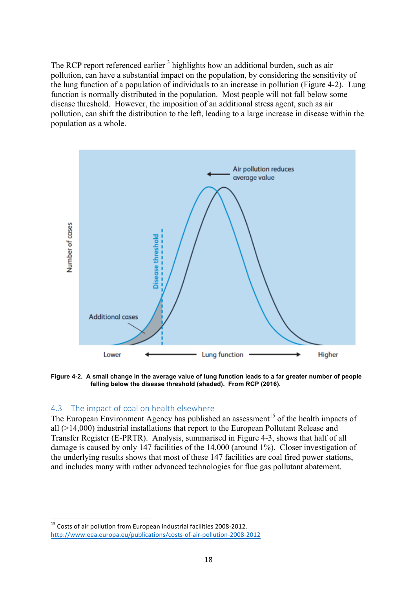The RCP report referenced earlier<sup>3</sup> highlights how an additional burden, such as air pollution, can have a substantial impact on the population, by considering the sensitivity of the lung function of a population of individuals to an increase in pollution (Figure 4-2). Lung function is normally distributed in the population. Most people will not fall below some disease threshold. However, the imposition of an additional stress agent, such as air pollution, can shift the distribution to the left, leading to a large increase in disease within the population as a whole.



**Figure 4-2. A small change in the average value of lung function leads to a far greater number of people falling below the disease threshold (shaded). From RCP (2016).**

#### 4.3 The impact of coal on health elsewhere

The European Environment Agency has published an assessment<sup>15</sup> of the health impacts of all (>14,000) industrial installations that report to the European Pollutant Release and Transfer Register (E-PRTR). Analysis, summarised in Figure 4-3, shows that half of all damage is caused by only 147 facilities of the 14,000 (around 1%). Closer investigation of the underlying results shows that most of these 147 facilities are coal fired power stations, and includes many with rather advanced technologies for flue gas pollutant abatement.

 $15$  Costs of air pollution from European industrial facilities 2008-2012. http://www.eea.europa.eu/publications/costs-of-air-pollution-2008-2012